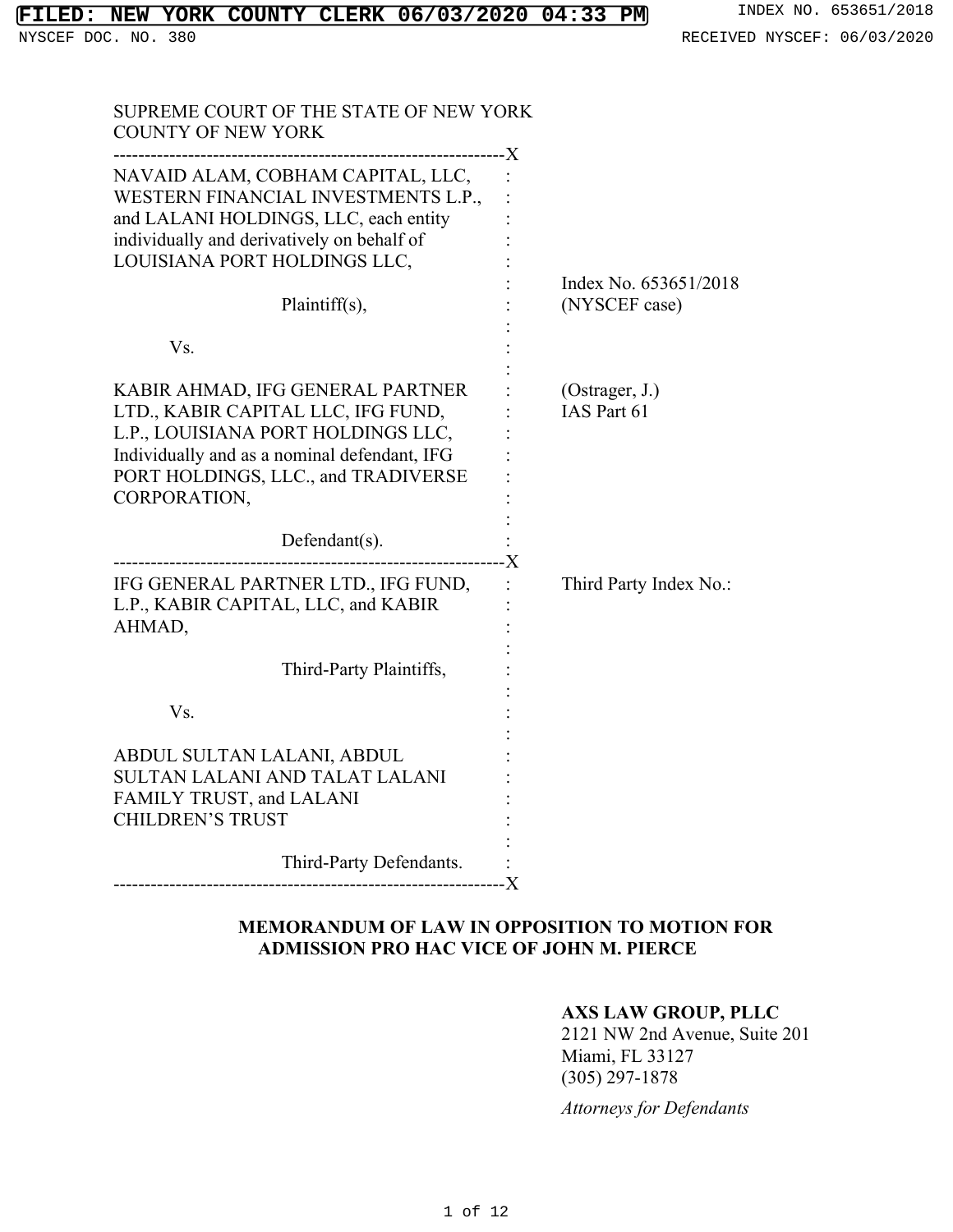| SUPREME COURT OF THE STATE OF NEW YORK<br><b>COUNTY OF NEW YORK</b>                                                                                                                                                 |                                        |
|---------------------------------------------------------------------------------------------------------------------------------------------------------------------------------------------------------------------|----------------------------------------|
| NAVAID ALAM, COBHAM CAPITAL, LLC,<br>WESTERN FINANCIAL INVESTMENTS L.P.,<br>and LALANI HOLDINGS, LLC, each entity<br>individually and derivatively on behalf of<br>LOUISIANA PORT HOLDINGS LLC,                     |                                        |
| Plaintiff(s),                                                                                                                                                                                                       | Index No. 653651/2018<br>(NYSCEF case) |
| Vs.                                                                                                                                                                                                                 |                                        |
| KABIR AHMAD, IFG GENERAL PARTNER<br>LTD., KABIR CAPITAL LLC, IFG FUND,<br>L.P., LOUISIANA PORT HOLDINGS LLC,<br>Individually and as a nominal defendant, IFG<br>PORT HOLDINGS, LLC., and TRADIVERSE<br>CORPORATION, | (Ostrager, J.)<br>IAS Part 61          |
| Defendant(s).<br>---------------------X                                                                                                                                                                             |                                        |
| IFG GENERAL PARTNER LTD., IFG FUND,<br>L.P., KABIR CAPITAL, LLC, and KABIR<br>AHMAD,                                                                                                                                | $\mathbf{L}$<br>Third Party Index No.: |
| Third-Party Plaintiffs,                                                                                                                                                                                             |                                        |
| Vs.                                                                                                                                                                                                                 |                                        |
| ABDUL SULTAN LALANI, ABDUL<br>SULTAN LALANI AND TALAT LALANI<br>FAMILY TRUST, and LALANI<br><b>CHILDREN'S TRUST</b>                                                                                                 |                                        |
| Third-Party Defendants.                                                                                                                                                                                             |                                        |

# **MEMORANDUM OF LAW IN OPPOSITION TO MOTION FOR ADMISSION PRO HAC VICE OF JOHN M. PIERCE**

# **AXS LAW GROUP, PLLC**

2121 NW 2nd Avenue, Suite 201 Miami, FL 33127 (305) 297-1878

*Attorneys for Defendants*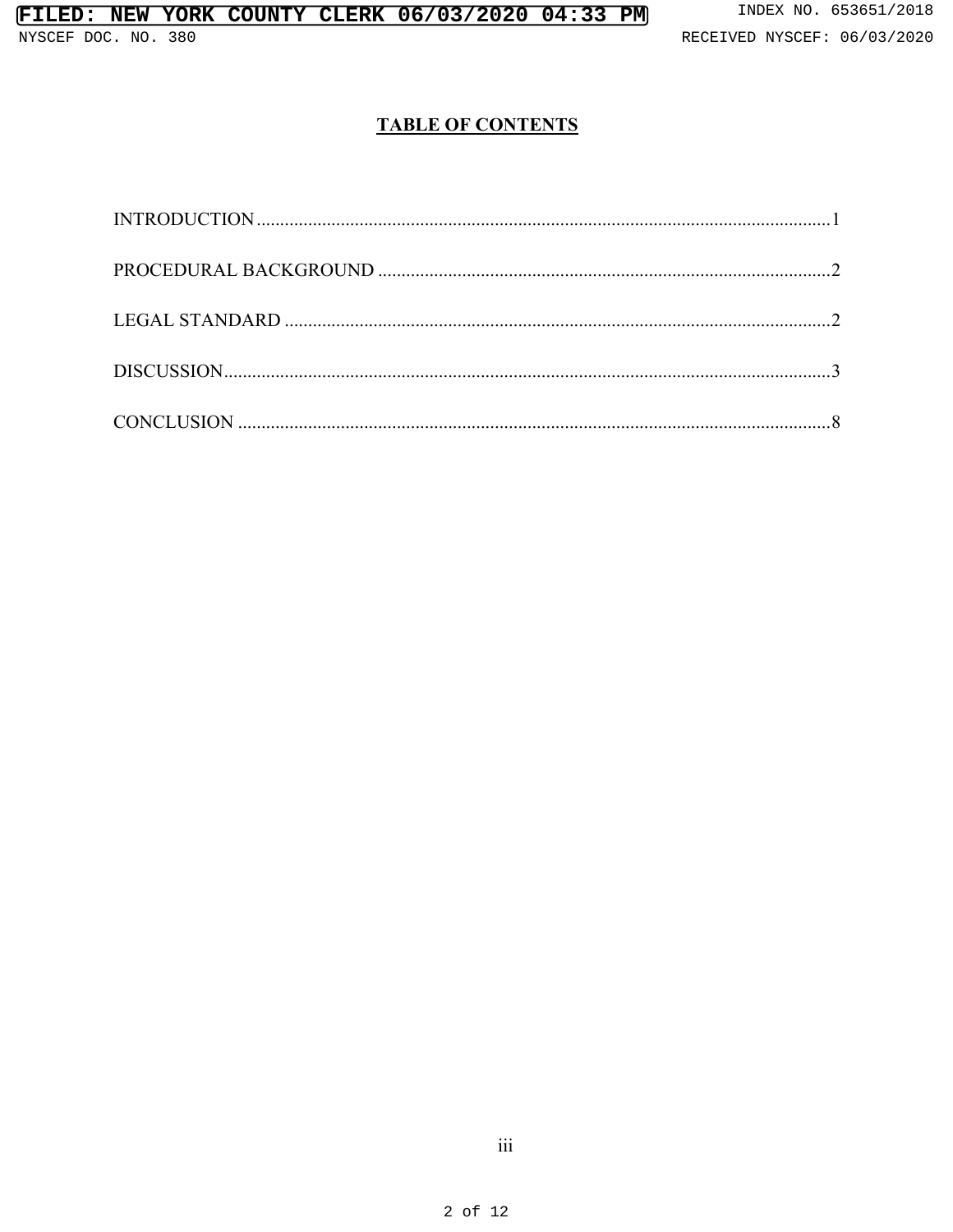# **TABLE OF CONTENTS**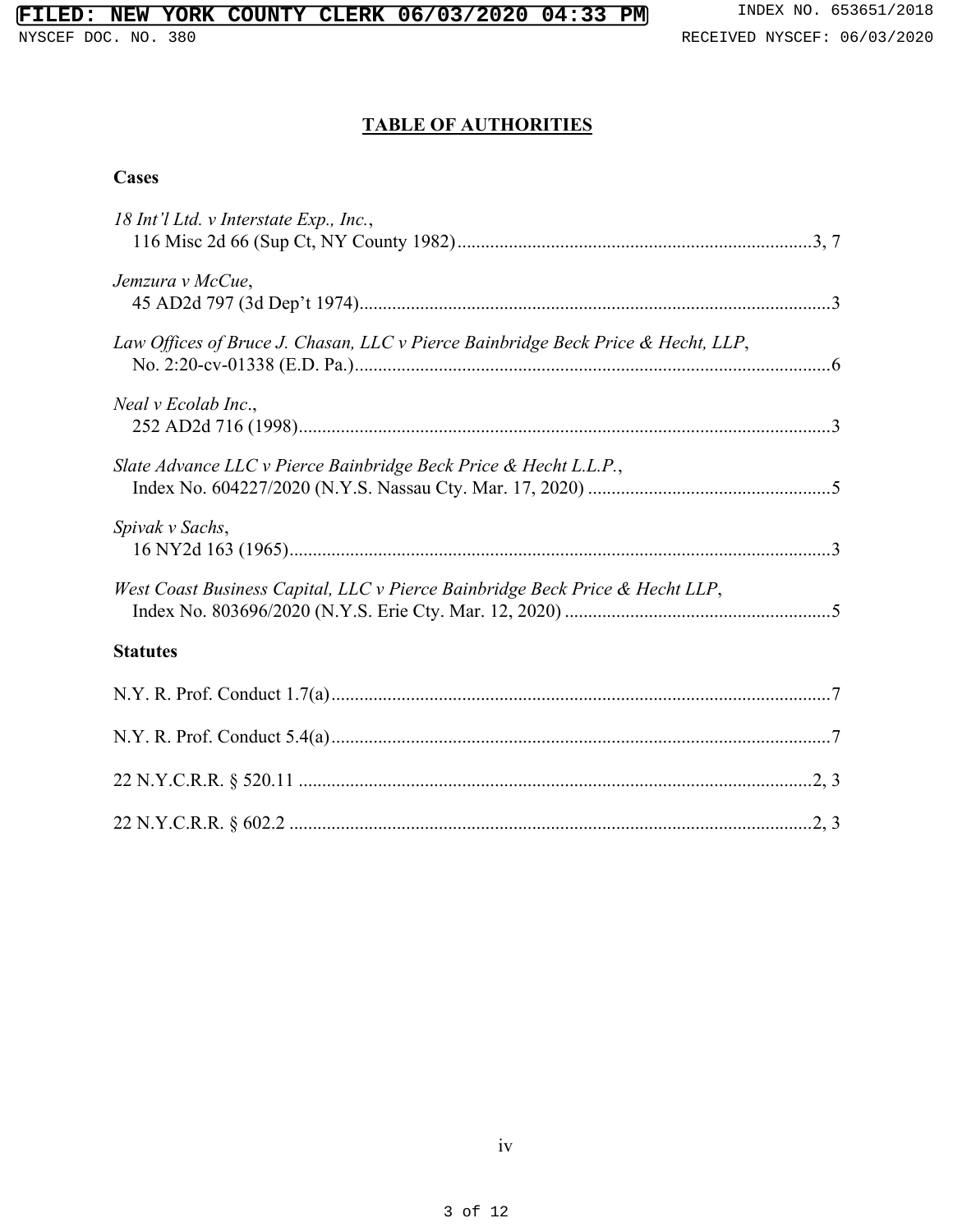# **TABLE OF AUTHORITIES**

## **Cases**

| 18 Int'l Ltd. v Interstate Exp., Inc.,                                           |
|----------------------------------------------------------------------------------|
| Jemzura v McCue,                                                                 |
| Law Offices of Bruce J. Chasan, LLC v Pierce Bainbridge Beck Price & Hecht, LLP, |
| Neal v Ecolab Inc.,                                                              |
| Slate Advance LLC v Pierce Bainbridge Beck Price & Hecht L.L.P.,                 |
| Spivak v Sachs,                                                                  |
| West Coast Business Capital, LLC v Pierce Bainbridge Beck Price & Hecht LLP,     |
| <b>Statutes</b>                                                                  |
|                                                                                  |
|                                                                                  |
|                                                                                  |
|                                                                                  |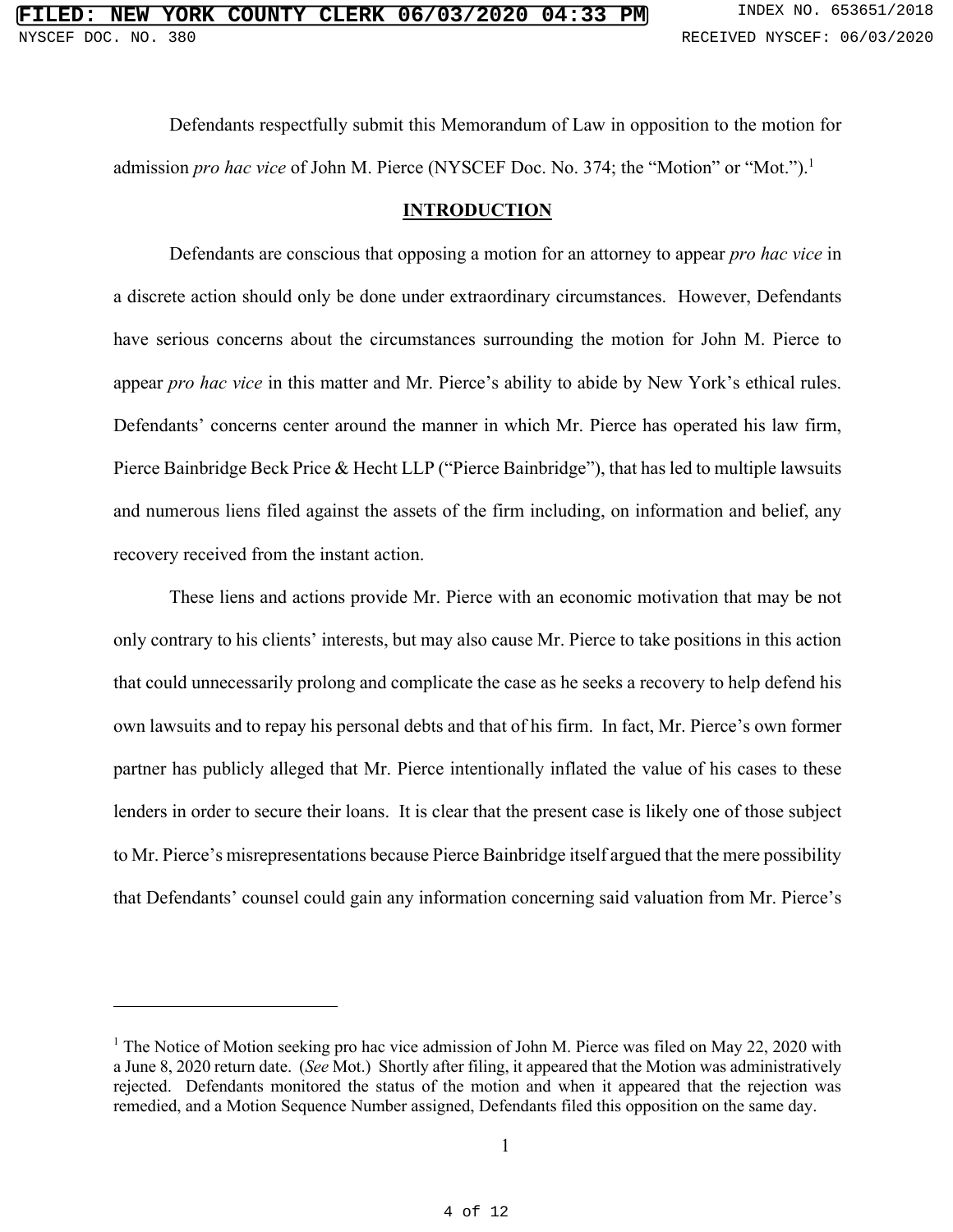Defendants respectfully submit this Memorandum of Law in opposition to the motion for admission *pro hac vice* of John M. Pierce (NYSCEF Doc. No. 374; the "Motion" or "Mot.").<sup>1</sup>

### **INTRODUCTION**

Defendants are conscious that opposing a motion for an attorney to appear *pro hac vice* in a discrete action should only be done under extraordinary circumstances. However, Defendants have serious concerns about the circumstances surrounding the motion for John M. Pierce to appear *pro hac vice* in this matter and Mr. Pierce's ability to abide by New York's ethical rules. Defendants' concerns center around the manner in which Mr. Pierce has operated his law firm, Pierce Bainbridge Beck Price & Hecht LLP ("Pierce Bainbridge"), that has led to multiple lawsuits and numerous liens filed against the assets of the firm including, on information and belief, any recovery received from the instant action.

These liens and actions provide Mr. Pierce with an economic motivation that may be not only contrary to his clients' interests, but may also cause Mr. Pierce to take positions in this action that could unnecessarily prolong and complicate the case as he seeks a recovery to help defend his own lawsuits and to repay his personal debts and that of his firm. In fact, Mr. Pierce's own former partner has publicly alleged that Mr. Pierce intentionally inflated the value of his cases to these lenders in order to secure their loans. It is clear that the present case is likely one of those subject to Mr. Pierce's misrepresentations because Pierce Bainbridge itself argued that the mere possibility that Defendants' counsel could gain any information concerning said valuation from Mr. Pierce's

<sup>&</sup>lt;sup>1</sup> The Notice of Motion seeking pro hac vice admission of John M. Pierce was filed on May 22, 2020 with a June 8, 2020 return date. (*See* Mot.) Shortly after filing, it appeared that the Motion was administratively rejected. Defendants monitored the status of the motion and when it appeared that the rejection was remedied, and a Motion Sequence Number assigned, Defendants filed this opposition on the same day.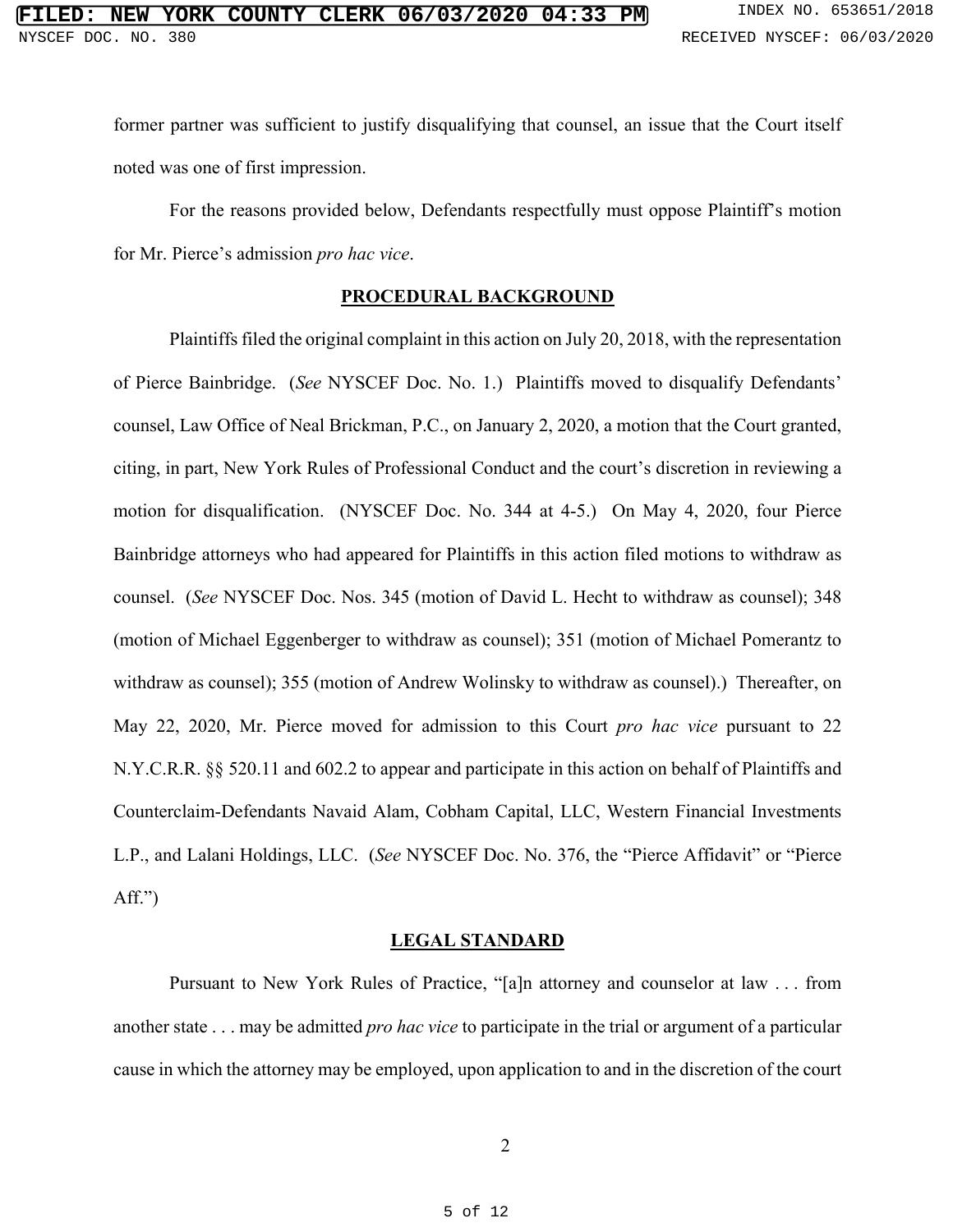former partner was sufficient to justify disqualifying that counsel, an issue that the Court itself noted was one of first impression.

For the reasons provided below, Defendants respectfully must oppose Plaintiff's motion for Mr. Pierce's admission *pro hac vice*.

### **PROCEDURAL BACKGROUND**

Plaintiffs filed the original complaint in this action on July 20, 2018, with the representation of Pierce Bainbridge. (*See* NYSCEF Doc. No. 1.) Plaintiffs moved to disqualify Defendants' counsel, Law Office of Neal Brickman, P.C., on January 2, 2020, a motion that the Court granted, citing, in part, New York Rules of Professional Conduct and the court's discretion in reviewing a motion for disqualification. (NYSCEF Doc. No. 344 at 4-5.) On May 4, 2020, four Pierce Bainbridge attorneys who had appeared for Plaintiffs in this action filed motions to withdraw as counsel. (*See* NYSCEF Doc. Nos. 345 (motion of David L. Hecht to withdraw as counsel); 348 (motion of Michael Eggenberger to withdraw as counsel); 351 (motion of Michael Pomerantz to withdraw as counsel); 355 (motion of Andrew Wolinsky to withdraw as counsel).) Thereafter, on May 22, 2020, Mr. Pierce moved for admission to this Court *pro hac vice* pursuant to 22 N.Y.C.R.R. §§ 520.11 and 602.2 to appear and participate in this action on behalf of Plaintiffs and Counterclaim-Defendants Navaid Alam, Cobham Capital, LLC, Western Financial Investments L.P., and Lalani Holdings, LLC. (*See* NYSCEF Doc. No. 376, the "Pierce Affidavit" or "Pierce Aff.")

### **LEGAL STANDARD**

Pursuant to New York Rules of Practice, "[a]n attorney and counselor at law . . . from another state . . . may be admitted *pro hac vice* to participate in the trial or argument of a particular cause in which the attorney may be employed, upon application to and in the discretion of the court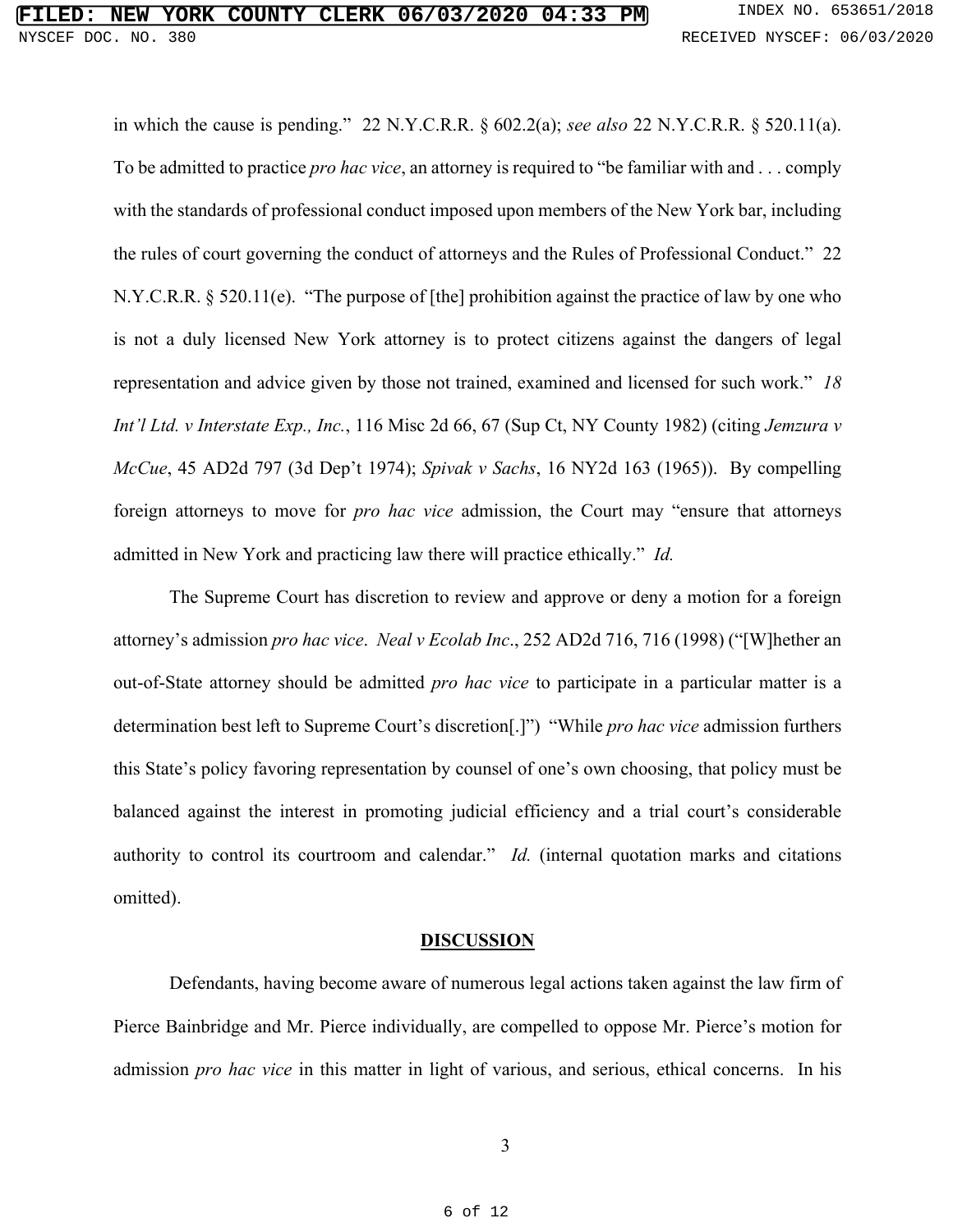in which the cause is pending." 22 N.Y.C.R.R. § 602.2(a); *see also* 22 N.Y.C.R.R. § 520.11(a). To be admitted to practice *pro hac vice*, an attorney is required to "be familiar with and . . . comply with the standards of professional conduct imposed upon members of the New York bar, including the rules of court governing the conduct of attorneys and the Rules of Professional Conduct." 22 N.Y.C.R.R. § 520.11(e). "The purpose of [the] prohibition against the practice of law by one who is not a duly licensed New York attorney is to protect citizens against the dangers of legal representation and advice given by those not trained, examined and licensed for such work." *18 Int'l Ltd. v Interstate Exp., Inc.*, 116 Misc 2d 66, 67 (Sup Ct, NY County 1982) (citing *Jemzura v McCue*, 45 AD2d 797 (3d Dep't 1974); *Spivak v Sachs*, 16 NY2d 163 (1965)). By compelling foreign attorneys to move for *pro hac vice* admission, the Court may "ensure that attorneys admitted in New York and practicing law there will practice ethically." *Id.*

The Supreme Court has discretion to review and approve or deny a motion for a foreign attorney's admission *pro hac vice*. *Neal v Ecolab Inc*., 252 AD2d 716, 716 (1998) ("[W]hether an out-of-State attorney should be admitted *pro hac vice* to participate in a particular matter is a determination best left to Supreme Court's discretion[.]") "While *pro hac vice* admission furthers this State's policy favoring representation by counsel of one's own choosing, that policy must be balanced against the interest in promoting judicial efficiency and a trial court's considerable authority to control its courtroom and calendar." *Id.* (internal quotation marks and citations omitted).

#### **DISCUSSION**

Defendants, having become aware of numerous legal actions taken against the law firm of Pierce Bainbridge and Mr. Pierce individually, are compelled to oppose Mr. Pierce's motion for admission *pro hac vice* in this matter in light of various, and serious, ethical concerns. In his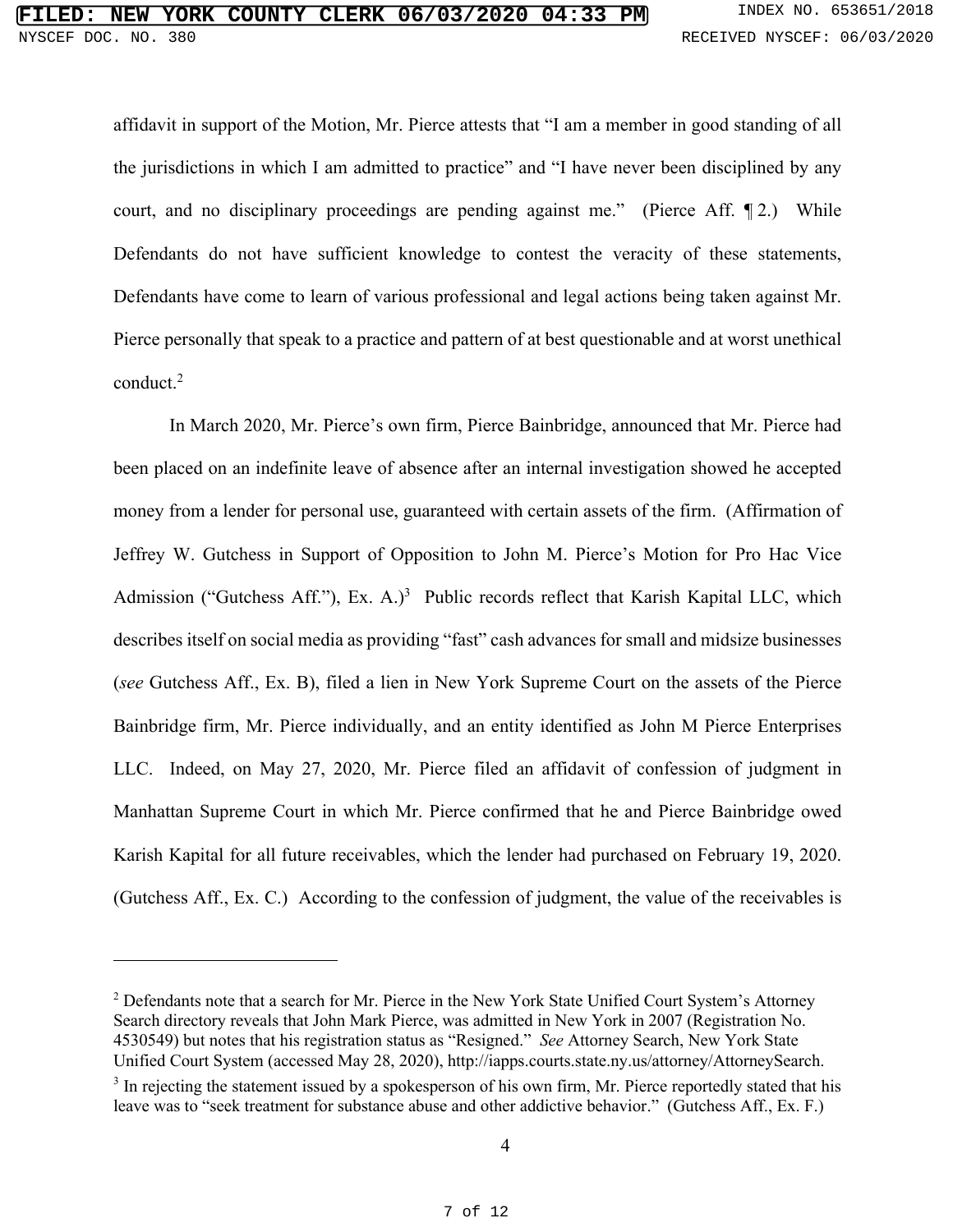affidavit in support of the Motion, Mr. Pierce attests that "I am a member in good standing of all the jurisdictions in which I am admitted to practice" and "I have never been disciplined by any court, and no disciplinary proceedings are pending against me." (Pierce Aff. ¶ 2.) While Defendants do not have sufficient knowledge to contest the veracity of these statements, Defendants have come to learn of various professional and legal actions being taken against Mr. Pierce personally that speak to a practice and pattern of at best questionable and at worst unethical conduct. 2

In March 2020, Mr. Pierce's own firm, Pierce Bainbridge, announced that Mr. Pierce had been placed on an indefinite leave of absence after an internal investigation showed he accepted money from a lender for personal use, guaranteed with certain assets of the firm. (Affirmation of Jeffrey W. Gutchess in Support of Opposition to John M. Pierce's Motion for Pro Hac Vice Admission ("Gutchess Aff."), Ex. A.)<sup>3</sup> Public records reflect that Karish Kapital LLC, which describes itself on social media as providing "fast" cash advances for small and midsize businesses (*see* Gutchess Aff., Ex. B), filed a lien in New York Supreme Court on the assets of the Pierce Bainbridge firm, Mr. Pierce individually, and an entity identified as John M Pierce Enterprises LLC. Indeed, on May 27, 2020, Mr. Pierce filed an affidavit of confession of judgment in Manhattan Supreme Court in which Mr. Pierce confirmed that he and Pierce Bainbridge owed Karish Kapital for all future receivables, which the lender had purchased on February 19, 2020. (Gutchess Aff., Ex. C.) According to the confession of judgment, the value of the receivables is

 $2$  Defendants note that a search for Mr. Pierce in the New York State Unified Court System's Attorney Search directory reveals that John Mark Pierce, was admitted in New York in 2007 (Registration No. 4530549) but notes that his registration status as "Resigned." *See* Attorney Search, New York State Unified Court System (accessed May 28, 2020), http://iapps.courts.state.ny.us/attorney/AttorneySearch.

<sup>&</sup>lt;sup>3</sup> In rejecting the statement issued by a spokesperson of his own firm, Mr. Pierce reportedly stated that his leave was to "seek treatment for substance abuse and other addictive behavior." (Gutchess Aff., Ex. F.)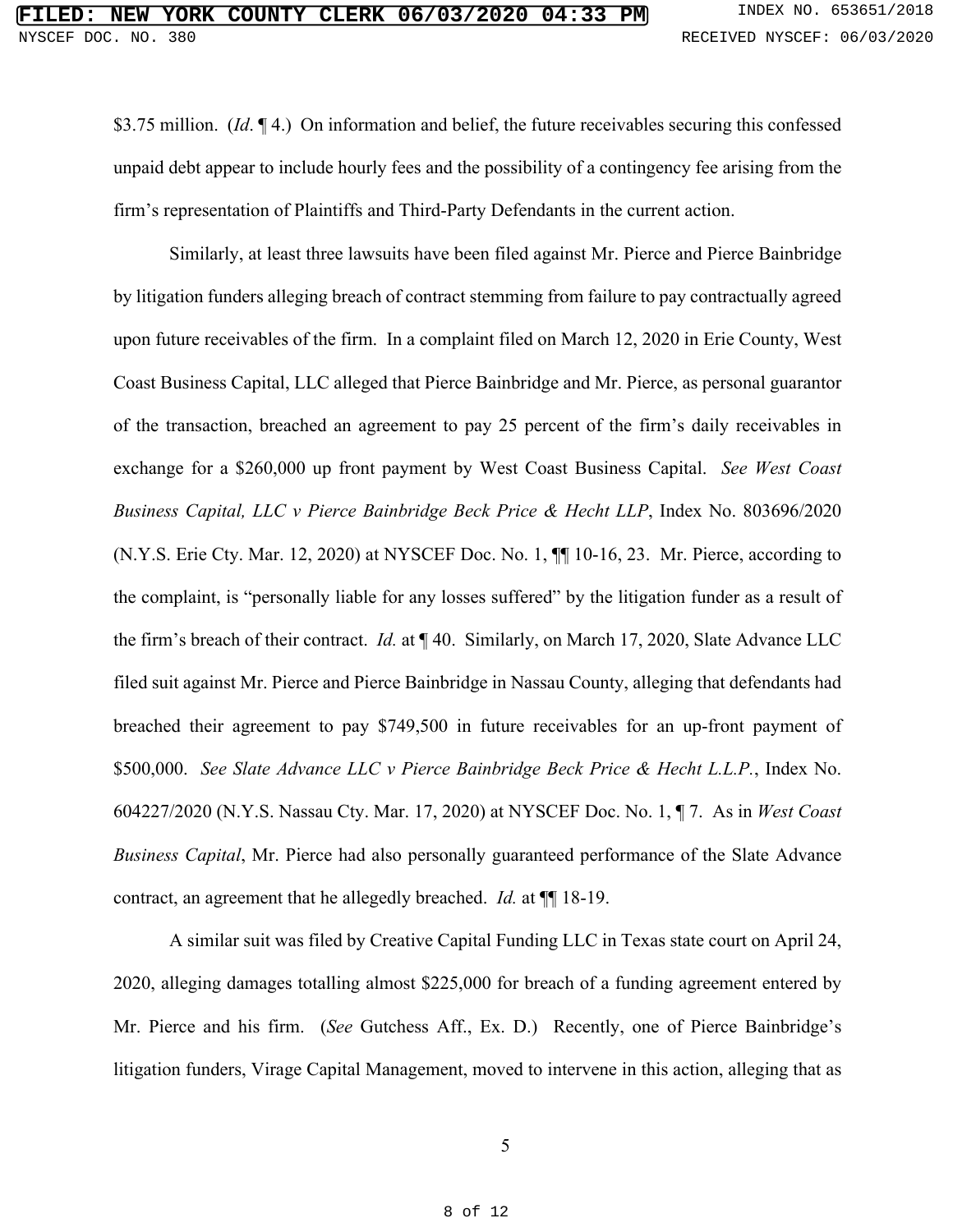\$3.75 million. (*Id*. ¶ 4.) On information and belief, the future receivables securing this confessed unpaid debt appear to include hourly fees and the possibility of a contingency fee arising from the firm's representation of Plaintiffs and Third-Party Defendants in the current action.

Similarly, at least three lawsuits have been filed against Mr. Pierce and Pierce Bainbridge by litigation funders alleging breach of contract stemming from failure to pay contractually agreed upon future receivables of the firm. In a complaint filed on March 12, 2020 in Erie County, West Coast Business Capital, LLC alleged that Pierce Bainbridge and Mr. Pierce, as personal guarantor of the transaction, breached an agreement to pay 25 percent of the firm's daily receivables in exchange for a \$260,000 up front payment by West Coast Business Capital. *See West Coast Business Capital, LLC v Pierce Bainbridge Beck Price & Hecht LLP*, Index No. 803696/2020 (N.Y.S. Erie Cty. Mar. 12, 2020) at NYSCEF Doc. No. 1, ¶¶ 10-16, 23. Mr. Pierce, according to the complaint, is "personally liable for any losses suffered" by the litigation funder as a result of the firm's breach of their contract. *Id.* at ¶ 40. Similarly, on March 17, 2020, Slate Advance LLC filed suit against Mr. Pierce and Pierce Bainbridge in Nassau County, alleging that defendants had breached their agreement to pay \$749,500 in future receivables for an up-front payment of \$500,000. *See Slate Advance LLC v Pierce Bainbridge Beck Price & Hecht L.L.P.*, Index No. 604227/2020 (N.Y.S. Nassau Cty. Mar. 17, 2020) at NYSCEF Doc. No. 1, ¶ 7. As in *West Coast Business Capital*, Mr. Pierce had also personally guaranteed performance of the Slate Advance contract, an agreement that he allegedly breached. *Id.* at ¶¶ 18-19.

A similar suit was filed by Creative Capital Funding LLC in Texas state court on April 24, 2020, alleging damages totalling almost \$225,000 for breach of a funding agreement entered by Mr. Pierce and his firm. (*See* Gutchess Aff., Ex. D.) Recently, one of Pierce Bainbridge's litigation funders, Virage Capital Management, moved to intervene in this action, alleging that as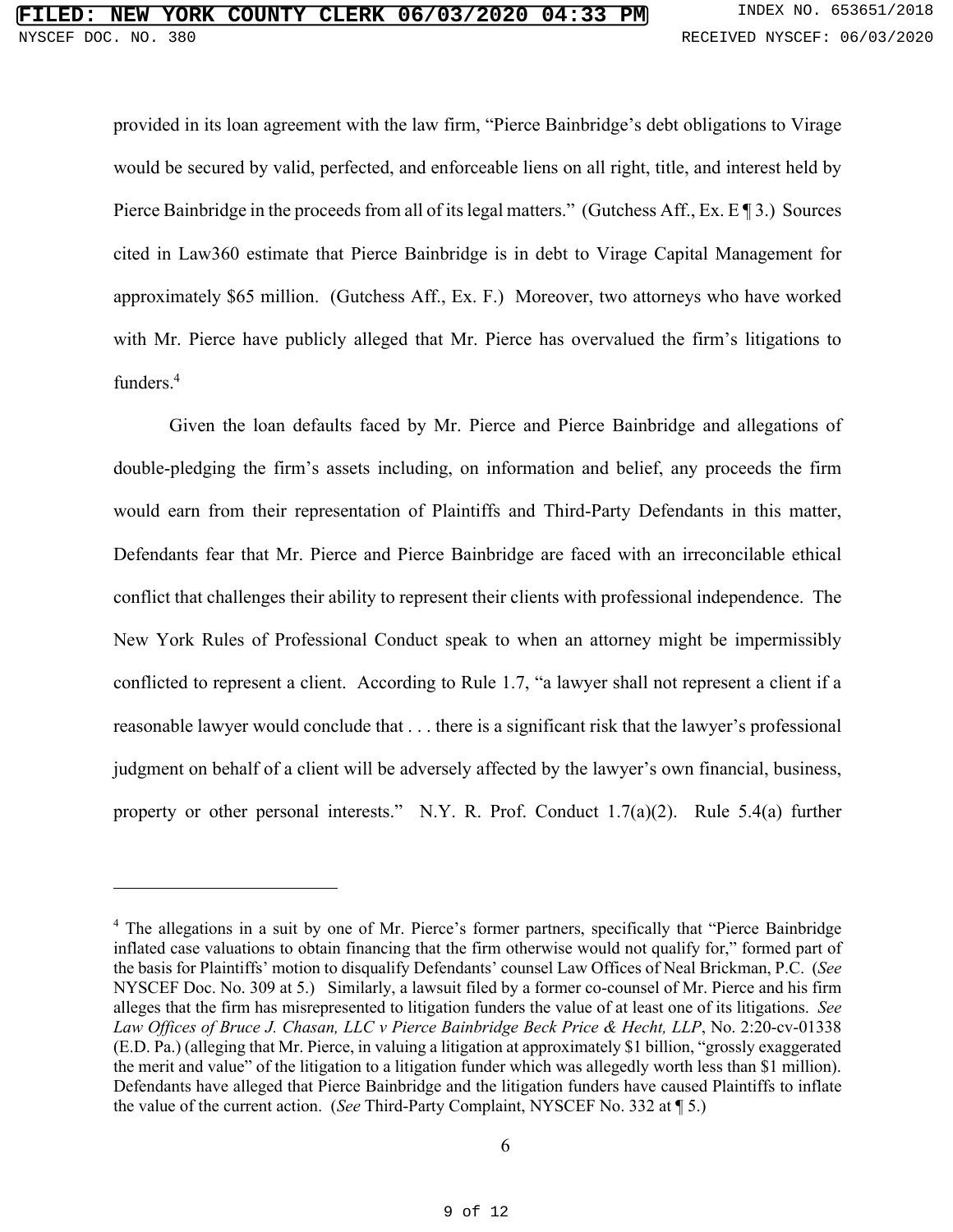provided in its loan agreement with the law firm, "Pierce Bainbridge's debt obligations to Virage would be secured by valid, perfected, and enforceable liens on all right, title, and interest held by Pierce Bainbridge in the proceeds from all of its legal matters." (Gutchess Aff., Ex. E ¶ 3.) Sources cited in Law360 estimate that Pierce Bainbridge is in debt to Virage Capital Management for approximately \$65 million. (Gutchess Aff., Ex. F.) Moreover, two attorneys who have worked with Mr. Pierce have publicly alleged that Mr. Pierce has overvalued the firm's litigations to funders.4

Given the loan defaults faced by Mr. Pierce and Pierce Bainbridge and allegations of double-pledging the firm's assets including, on information and belief, any proceeds the firm would earn from their representation of Plaintiffs and Third-Party Defendants in this matter, Defendants fear that Mr. Pierce and Pierce Bainbridge are faced with an irreconcilable ethical conflict that challenges their ability to represent their clients with professional independence. The New York Rules of Professional Conduct speak to when an attorney might be impermissibly conflicted to represent a client. According to Rule 1.7, "a lawyer shall not represent a client if a reasonable lawyer would conclude that . . . there is a significant risk that the lawyer's professional judgment on behalf of a client will be adversely affected by the lawyer's own financial, business, property or other personal interests." N.Y. R. Prof. Conduct 1.7(a)(2). Rule 5.4(a) further

<sup>&</sup>lt;sup>4</sup> The allegations in a suit by one of Mr. Pierce's former partners, specifically that "Pierce Bainbridge" inflated case valuations to obtain financing that the firm otherwise would not qualify for," formed part of the basis for Plaintiffs' motion to disqualify Defendants' counsel Law Offices of Neal Brickman, P.C. (*See*  NYSCEF Doc. No. 309 at 5.) Similarly, a lawsuit filed by a former co-counsel of Mr. Pierce and his firm alleges that the firm has misrepresented to litigation funders the value of at least one of its litigations. *See Law Offices of Bruce J. Chasan, LLC v Pierce Bainbridge Beck Price & Hecht, LLP*, No. 2:20-cv-01338 (E.D. Pa.) (alleging that Mr. Pierce, in valuing a litigation at approximately \$1 billion, "grossly exaggerated the merit and value" of the litigation to a litigation funder which was allegedly worth less than \$1 million). Defendants have alleged that Pierce Bainbridge and the litigation funders have caused Plaintiffs to inflate the value of the current action. (*See* Third-Party Complaint, NYSCEF No. 332 at ¶ 5.)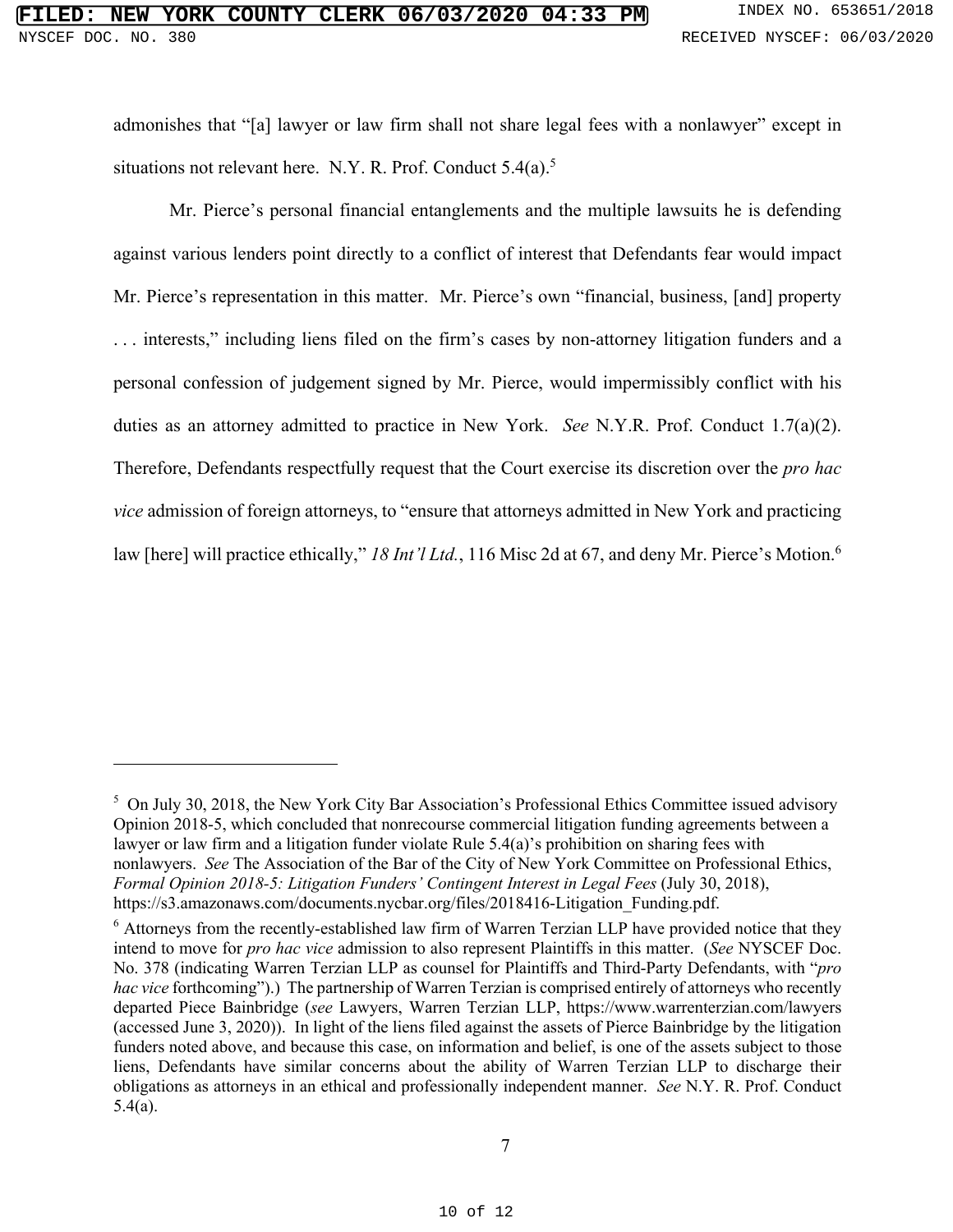admonishes that "[a] lawyer or law firm shall not share legal fees with a nonlawyer" except in situations not relevant here. N.Y. R. Prof. Conduct  $5.4(a)$ .<sup>5</sup>

Mr. Pierce's personal financial entanglements and the multiple lawsuits he is defending against various lenders point directly to a conflict of interest that Defendants fear would impact Mr. Pierce's representation in this matter. Mr. Pierce's own "financial, business, [and] property . . . interests," including liens filed on the firm's cases by non-attorney litigation funders and a personal confession of judgement signed by Mr. Pierce, would impermissibly conflict with his duties as an attorney admitted to practice in New York. *See* N.Y.R. Prof. Conduct 1.7(a)(2). Therefore, Defendants respectfully request that the Court exercise its discretion over the *pro hac vice* admission of foreign attorneys, to "ensure that attorneys admitted in New York and practicing law [here] will practice ethically," 18 Int'l Ltd., 116 Misc 2d at 67, and deny Mr. Pierce's Motion.<sup>6</sup>

<sup>&</sup>lt;sup>5</sup> On July 30, 2018, the New York City Bar Association's Professional Ethics Committee issued advisory Opinion 2018-5, which concluded that nonrecourse commercial litigation funding agreements between a lawyer or law firm and a litigation funder violate Rule 5.4(a)'s prohibition on sharing fees with nonlawyers. *See* The Association of the Bar of the City of New York Committee on Professional Ethics, *Formal Opinion 2018-5: Litigation Funders' Contingent Interest in Legal Fees* (July 30, 2018), https://s3.amazonaws.com/documents.nycbar.org/files/2018416-Litigation\_Funding.pdf.

<sup>&</sup>lt;sup>6</sup> Attorneys from the recently-established law firm of Warren Terzian LLP have provided notice that they intend to move for *pro hac vice* admission to also represent Plaintiffs in this matter. (*See* NYSCEF Doc. No. 378 (indicating Warren Terzian LLP as counsel for Plaintiffs and Third-Party Defendants, with "*pro hac vice* forthcoming").) The partnership of Warren Terzian is comprised entirely of attorneys who recently departed Piece Bainbridge (*see* Lawyers, Warren Terzian LLP, https://www.warrenterzian.com/lawyers (accessed June 3, 2020)). In light of the liens filed against the assets of Pierce Bainbridge by the litigation funders noted above, and because this case, on information and belief, is one of the assets subject to those liens, Defendants have similar concerns about the ability of Warren Terzian LLP to discharge their obligations as attorneys in an ethical and professionally independent manner. *See* N.Y. R. Prof. Conduct 5.4(a).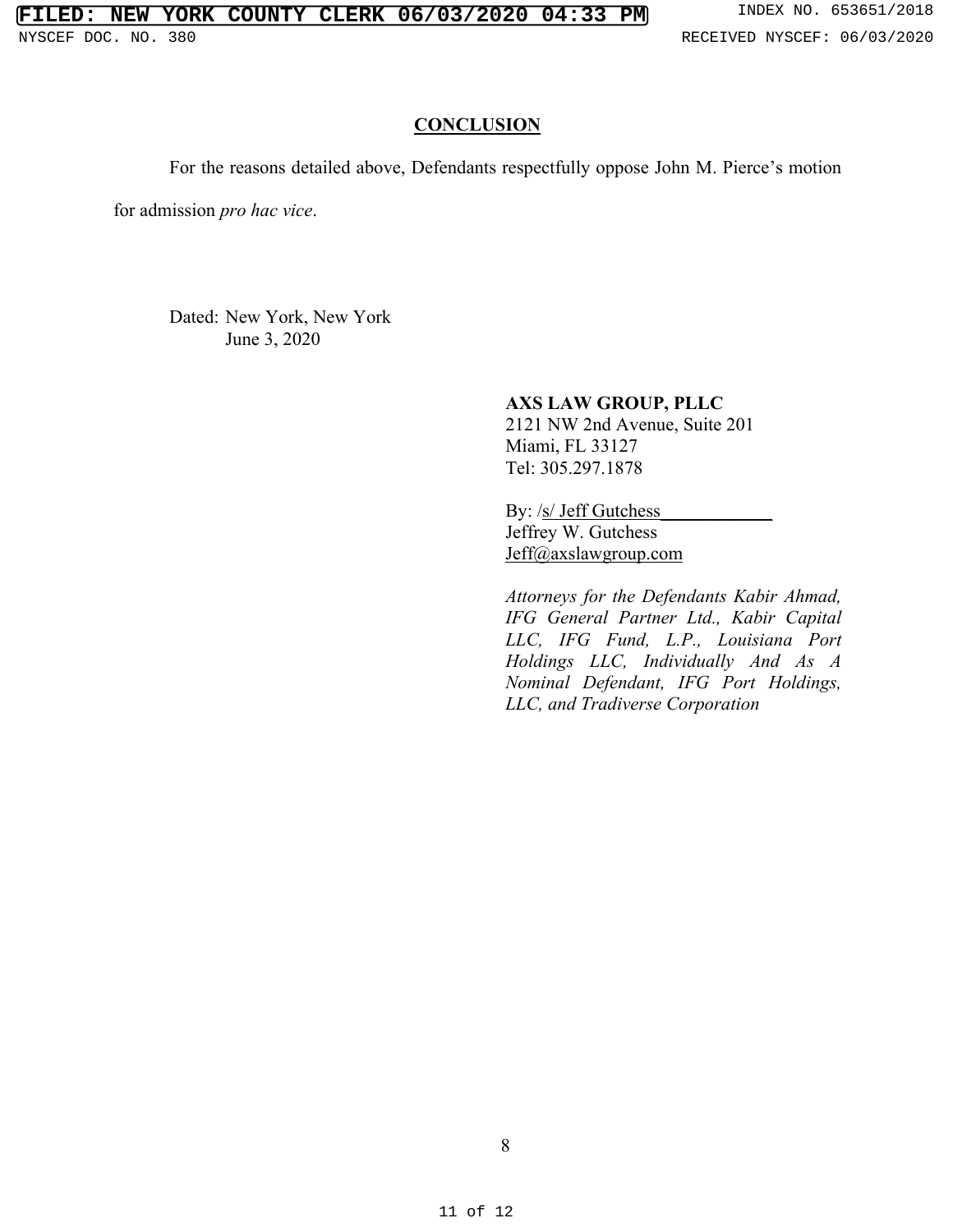### **CONCLUSION**

For the reasons detailed above, Defendants respectfully oppose John M. Pierce's motion

for admission *pro hac vice*.

Dated: New York, New York June 3, 2020

### **AXS LAW GROUP, PLLC**

2121 NW 2nd Avenue, Suite 201 Miami, FL 33127 Tel: 305.297.1878

By: /s/ Jeff Gutchess Jeffrey W. Gutchess Jeff@axslawgroup.com

*Attorneys for the Defendants Kabir Ahmad, IFG General Partner Ltd., Kabir Capital LLC, IFG Fund, L.P., Louisiana Port Holdings LLC, Individually And As A Nominal Defendant, IFG Port Holdings, LLC, and Tradiverse Corporation*